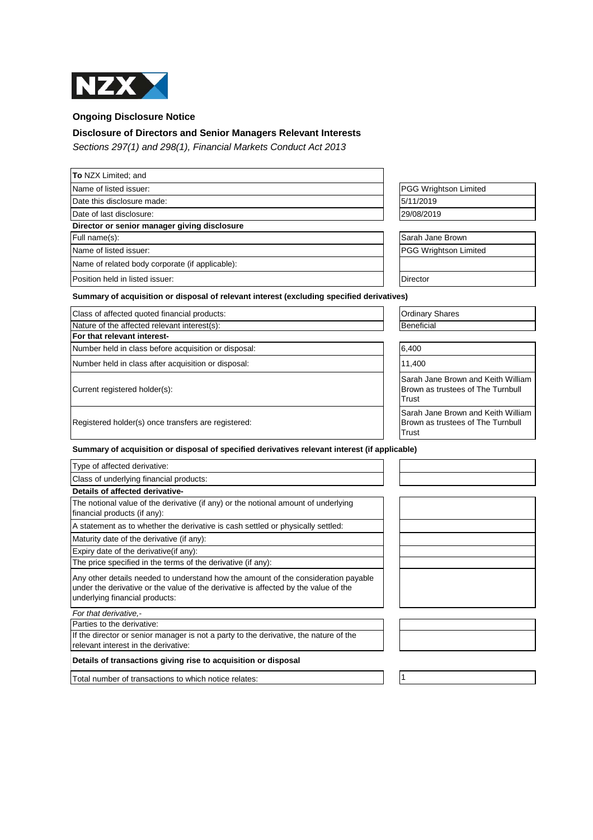

**Ongoing Disclosure Notice**

## **Disclosure of Directors and Senior Managers Relevant Interests**

Sections 297(1) and 298(1), Financial Markets Conduct Act 2013

| To NZX Limited; and                                                                                                                                                                                         |                                                                                  |
|-------------------------------------------------------------------------------------------------------------------------------------------------------------------------------------------------------------|----------------------------------------------------------------------------------|
| Name of listed issuer:                                                                                                                                                                                      | PGG Wrightson Limited                                                            |
| Date this disclosure made:                                                                                                                                                                                  | 5/11/2019                                                                        |
| Date of last disclosure:                                                                                                                                                                                    | 29/08/2019                                                                       |
| Director or senior manager giving disclosure                                                                                                                                                                |                                                                                  |
| Full name(s):                                                                                                                                                                                               | Sarah Jane Brown                                                                 |
| Name of listed issuer:                                                                                                                                                                                      | <b>PGG Wrightson Limited</b>                                                     |
| Name of related body corporate (if applicable):                                                                                                                                                             |                                                                                  |
| Position held in listed issuer:                                                                                                                                                                             | Director                                                                         |
| Summary of acquisition or disposal of relevant interest (excluding specified derivatives)                                                                                                                   |                                                                                  |
| Class of affected quoted financial products:                                                                                                                                                                | <b>Ordinary Shares</b>                                                           |
| Nature of the affected relevant interest(s):                                                                                                                                                                | <b>Beneficial</b>                                                                |
| For that relevant interest-                                                                                                                                                                                 |                                                                                  |
| Number held in class before acquisition or disposal:                                                                                                                                                        | 6,400                                                                            |
| Number held in class after acquisition or disposal:                                                                                                                                                         | 11,400                                                                           |
| Current registered holder(s):                                                                                                                                                                               | Sarah Jane Brown and Keith William<br>Brown as trustees of The Turnbull<br>Trust |
| Registered holder(s) once transfers are registered:                                                                                                                                                         | Sarah Jane Brown and Keith William<br>Brown as trustees of The Turnbull<br>Trust |
| Summary of acquisition or disposal of specified derivatives relevant interest (if applicable)                                                                                                               |                                                                                  |
| Type of affected derivative:                                                                                                                                                                                |                                                                                  |
| Class of underlying financial products:                                                                                                                                                                     |                                                                                  |
| Details of affected derivative-                                                                                                                                                                             |                                                                                  |
| The notional value of the derivative (if any) or the notional amount of underlying<br>financial products (if any):                                                                                          |                                                                                  |
| A statement as to whether the derivative is cash settled or physically settled:                                                                                                                             |                                                                                  |
| Maturity date of the derivative (if any):                                                                                                                                                                   |                                                                                  |
| Expiry date of the derivative (if any):                                                                                                                                                                     |                                                                                  |
| The price specified in the terms of the derivative (if any):                                                                                                                                                |                                                                                  |
| Any other details needed to understand how the amount of the consideration payable<br>under the derivative or the value of the derivative is affected by the value of the<br>underlying financial products: |                                                                                  |
| For that derivative.-                                                                                                                                                                                       |                                                                                  |
| Parties to the derivative:                                                                                                                                                                                  |                                                                                  |
| If the director or senior manager is not a party to the derivative, the nature of the<br>relevant interest in the derivative:                                                                               |                                                                                  |
| Details of transactions giving rise to acquisition or disposal                                                                                                                                              |                                                                                  |
| Total number of transactions to which notice relates:                                                                                                                                                       | $\overline{1}$                                                                   |